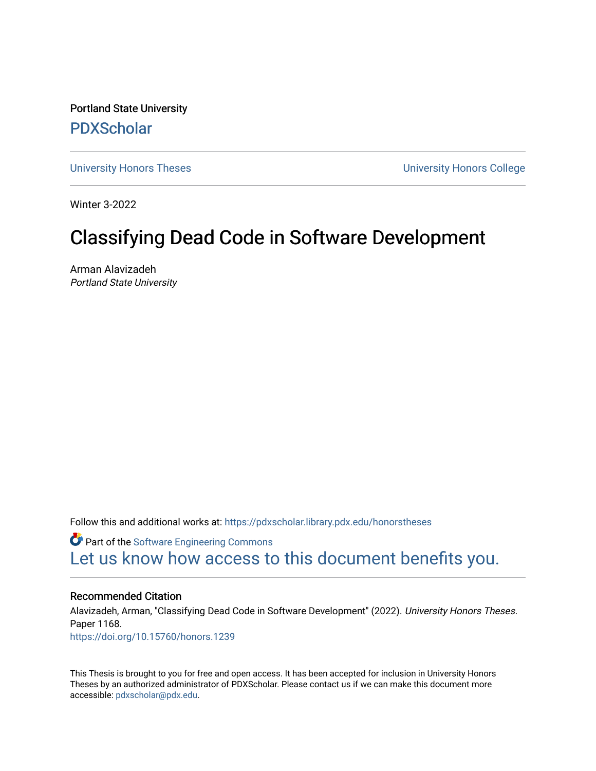Portland State University [PDXScholar](https://pdxscholar.library.pdx.edu/)

[University Honors Theses](https://pdxscholar.library.pdx.edu/honorstheses) [University Honors College](https://pdxscholar.library.pdx.edu/honors) 

Winter 3-2022

# Classifying Dead Code in Software Development

Arman Alavizadeh Portland State University

Follow this and additional works at: [https://pdxscholar.library.pdx.edu/honorstheses](https://pdxscholar.library.pdx.edu/honorstheses?utm_source=pdxscholar.library.pdx.edu%2Fhonorstheses%2F1168&utm_medium=PDF&utm_campaign=PDFCoverPages) 

Part of the [Software Engineering Commons](https://network.bepress.com/hgg/discipline/150?utm_source=pdxscholar.library.pdx.edu%2Fhonorstheses%2F1168&utm_medium=PDF&utm_campaign=PDFCoverPages)  [Let us know how access to this document benefits you.](http://library.pdx.edu/services/pdxscholar-services/pdxscholar-feedback/) 

## Recommended Citation

Alavizadeh, Arman, "Classifying Dead Code in Software Development" (2022). University Honors Theses. Paper 1168. <https://doi.org/10.15760/honors.1239>

This Thesis is brought to you for free and open access. It has been accepted for inclusion in University Honors Theses by an authorized administrator of PDXScholar. Please contact us if we can make this document more accessible: [pdxscholar@pdx.edu.](mailto:pdxscholar@pdx.edu)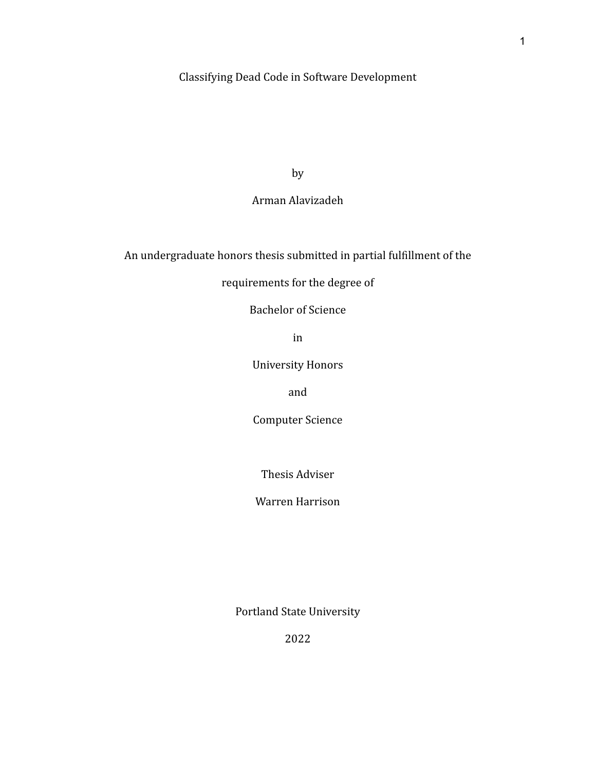## Classifying Dead Code in Software Development

by

## Arman Alavizadeh

## An undergraduate honors thesis submitted in partial fulfillment of the

## requirements for the degree of

## Bachelor of Science

in

University Honors

and

Computer Science

Thesis Adviser

Warren Harrison

Portland State University

2022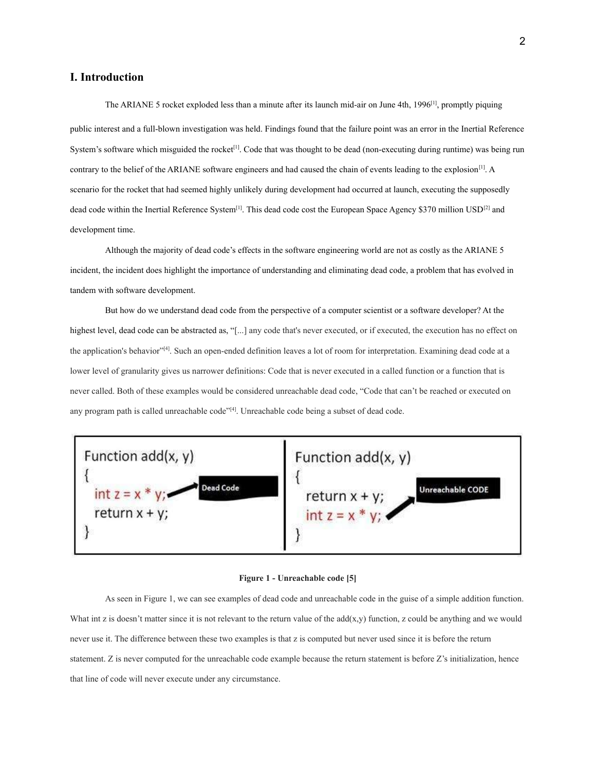## **I. Introduction**

The ARIANE 5 rocket exploded less than a minute after its launch mid-air on June 4th, 1996<sup>[1]</sup>, promptly piquing public interest and a full-blown investigation was held. Findings found that the failure point was an error in the Inertial Reference System's software which misguided the rocket<sup>[1]</sup>. Code that was thought to be dead (non-executing during runtime) was being run contrary to the belief of the ARIANE software engineers and had caused the chain of events leading to the explosion $[1]$ . A scenario for the rocket that had seemed highly unlikely during development had occurred at launch, executing the supposedly dead code within the Inertial Reference System<sup>[1]</sup>. This dead code cost the European Space Agency \$370 million USD<sup>[2]</sup> and development time.

Although the majority of dead code's effects in the software engineering world are not as costly as the ARIANE 5 incident, the incident does highlight the importance of understanding and eliminating dead code, a problem that has evolved in tandem with software development.

But how do we understand dead code from the perspective of a computer scientist or a software developer? At the highest level, dead code can be abstracted as, "[...] any code that's never executed, or if executed, the execution has no effect on the application's behavior"<sup>[4]</sup>. Such an open-ended definition leaves a lot of room for interpretation. Examining dead code at a lower level of granularity gives us narrower definitions: Code that is never executed in a called function or a function that is never called. Both of these examples would be considered unreachable dead code, "Code that can't be reached or executed on any program path is called unreachable code"<sup>[4]</sup>. Unreachable code being a subset of dead code.



#### **Figure 1 - Unreachable code [5]**

As seen in Figure 1, we can see examples of dead code and unreachable code in the guise of a simple addition function. What int z is doesn't matter since it is not relevant to the return value of the  $add(x,y)$  function, z could be anything and we would never use it. The difference between these two examples is that z is computed but never used since it is before the return statement. Z is never computed for the unreachable code example because the return statement is before Z's initialization, hence that line of code will never execute under any circumstance.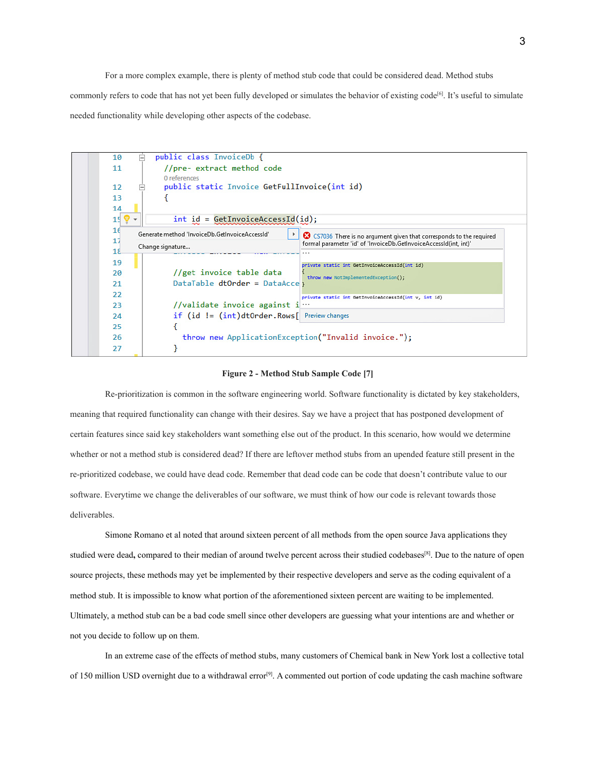For a more complex example, there is plenty of method stub code that could be considered dead. Method stubs commonly refers to code that has not yet been fully developed or simulates the behavior of existing code<sup>[6]</sup>. It's useful to simulate needed functionality while developing other aspects of the codebase.



#### **Figure 2 - Method Stub Sample Code [7]**

Re-prioritization is common in the software engineering world. Software functionality is dictated by key stakeholders, meaning that required functionality can change with their desires. Say we have a project that has postponed development of certain features since said key stakeholders want something else out of the product. In this scenario, how would we determine whether or not a method stub is considered dead? If there are leftover method stubs from an upended feature still present in the re-prioritized codebase, we could have dead code. Remember that dead code can be code that doesn't contribute value to our software. Everytime we change the deliverables of our software, we must think of how our code is relevant towards those deliverables.

Simone Romano et al noted that around sixteen percent of all methods from the open source Java applications they studied were dead, compared to their median of around twelve percent across their studied codebases<sup>[8]</sup>. Due to the nature of open source projects, these methods may yet be implemented by their respective developers and serve as the coding equivalent of a method stub. It is impossible to know what portion of the aforementioned sixteen percent are waiting to be implemented. Ultimately, a method stub can be a bad code smell since other developers are guessing what your intentions are and whether or not you decide to follow up on them.

In an extreme case of the effects of method stubs, many customers of Chemical bank in New York lost a collective total of 150 million USD overnight due to a withdrawal error<sup>[9]</sup>. A commented out portion of code updating the cash machine software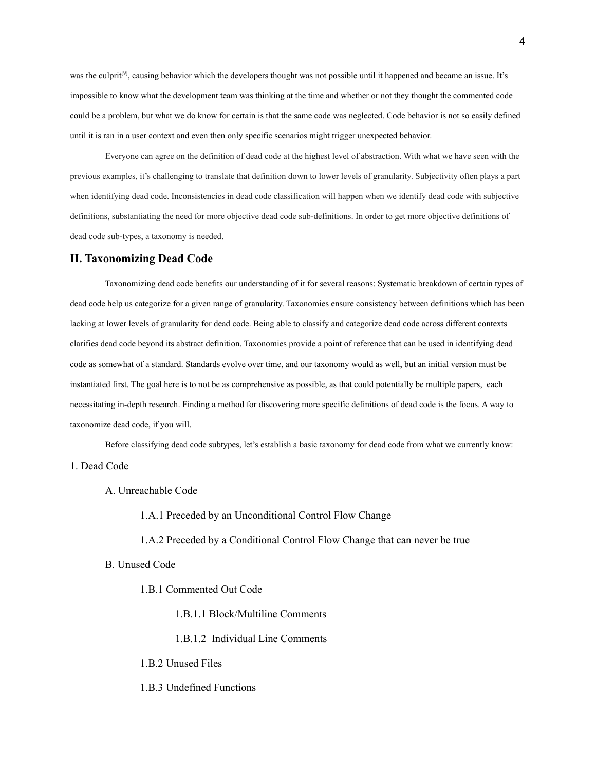was the culprit<sup>[9]</sup>, causing behavior which the developers thought was not possible until it happened and became an issue. It's impossible to know what the development team was thinking at the time and whether or not they thought the commented code could be a problem, but what we do know for certain is that the same code was neglected. Code behavior is not so easily defined until it is ran in a user context and even then only specific scenarios might trigger unexpected behavior.

Everyone can agree on the definition of dead code at the highest level of abstraction. With what we have seen with the previous examples, it's challenging to translate that definition down to lower levels of granularity. Subjectivity often plays a part when identifying dead code. Inconsistencies in dead code classification will happen when we identify dead code with subjective definitions, substantiating the need for more objective dead code sub-definitions. In order to get more objective definitions of dead code sub-types, a taxonomy is needed.

## **II. Taxonomizing Dead Code**

Taxonomizing dead code benefits our understanding of it for several reasons: Systematic breakdown of certain types of dead code help us categorize for a given range of granularity. Taxonomies ensure consistency between definitions which has been lacking at lower levels of granularity for dead code. Being able to classify and categorize dead code across different contexts clarifies dead code beyond its abstract definition. Taxonomies provide a point of reference that can be used in identifying dead code as somewhat of a standard. Standards evolve over time, and our taxonomy would as well, but an initial version must be instantiated first. The goal here is to not be as comprehensive as possible, as that could potentially be multiple papers, each necessitating in-depth research. Finding a method for discovering more specific definitions of dead code is the focus. A way to taxonomize dead code, if you will.

Before classifying dead code subtypes, let's establish a basic taxonomy for dead code from what we currently know: 1. Dead Code

A. Unreachable Code

1.A.1 Preceded by an Unconditional Control Flow Change

1.A.2 Preceded by a Conditional Control Flow Change that can never be true

- B. Unused Code
	- 1.B.1 Commented Out Code
		- 1.B.1.1 Block/Multiline Comments
		- 1.B.1.2 Individual Line Comments
	- 1.B.2 Unused Files
	- 1.B.3 Undefined Functions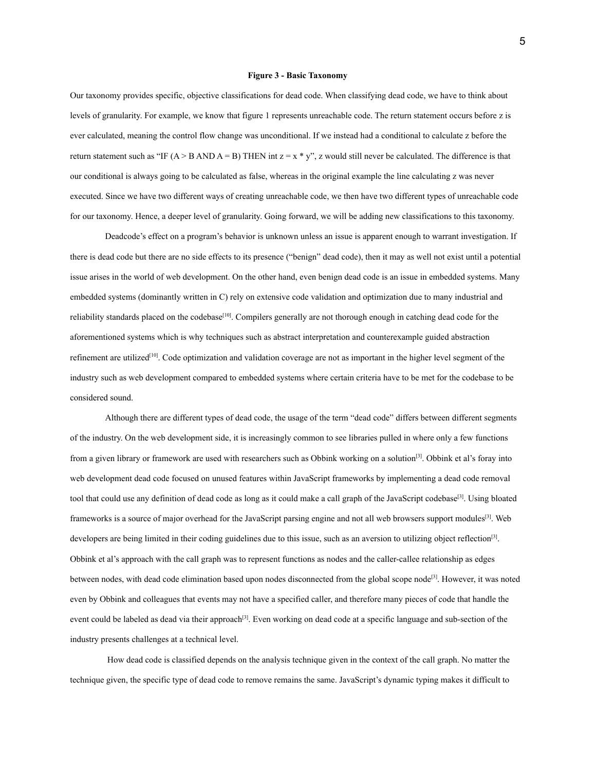#### **Figure 3 - Basic Taxonomy**

Our taxonomy provides specific, objective classifications for dead code. When classifying dead code, we have to think about levels of granularity. For example, we know that figure 1 represents unreachable code. The return statement occurs before z is ever calculated, meaning the control flow change was unconditional. If we instead had a conditional to calculate z before the return statement such as "IF (A > B AND A = B) THEN int  $z = x * y$ ", z would still never be calculated. The difference is that our conditional is always going to be calculated as false, whereas in the original example the line calculating z was never executed. Since we have two different ways of creating unreachable code, we then have two different types of unreachable code for our taxonomy. Hence, a deeper level of granularity. Going forward, we will be adding new classifications to this taxonomy.

Deadcode's effect on a program's behavior is unknown unless an issue is apparent enough to warrant investigation. If there is dead code but there are no side effects to its presence ("benign" dead code), then it may as well not exist until a potential issue arises in the world of web development. On the other hand, even benign dead code is an issue in embedded systems. Many embedded systems (dominantly written in C) rely on extensive code validation and optimization due to many industrial and reliability standards placed on the codebase<sup>[10]</sup>. Compilers generally are not thorough enough in catching dead code for the aforementioned systems which is why techniques such as abstract interpretation and counterexample guided abstraction refinement are utilized<sup>[10]</sup>. Code optimization and validation coverage are not as important in the higher level segment of the industry such as web development compared to embedded systems where certain criteria have to be met for the codebase to be considered sound.

Although there are different types of dead code, the usage of the term "dead code" differs between different segments of the industry. On the web development side, it is increasingly common to see libraries pulled in where only a few functions from a given library or framework are used with researchers such as Obbink working on a solution<sup>[3]</sup>. Obbink et al's foray into web development dead code focused on unused features within JavaScript frameworks by implementing a dead code removal tool that could use any definition of dead code as long as it could make a call graph of the JavaScript codebase<sup>[3]</sup>. Using bloated frameworks is a source of major overhead for the JavaScript parsing engine and not all web browsers support modules<sup>[3]</sup>. Web developers are being limited in their coding guidelines due to this issue, such as an aversion to utilizing object reflection<sup>[3]</sup>. Obbink et al's approach with the call graph was to represent functions as nodes and the caller-callee relationship as edges between nodes, with dead code elimination based upon nodes disconnected from the global scope node<sup>[3]</sup>. However, it was noted even by Obbink and colleagues that events may not have a specified caller, and therefore many pieces of code that handle the event could be labeled as dead via their approach<sup>[3]</sup>. Even working on dead code at a specific language and sub-section of the industry presents challenges at a technical level.

How dead code is classified depends on the analysis technique given in the context of the call graph. No matter the technique given, the specific type of dead code to remove remains the same. JavaScript's dynamic typing makes it difficult to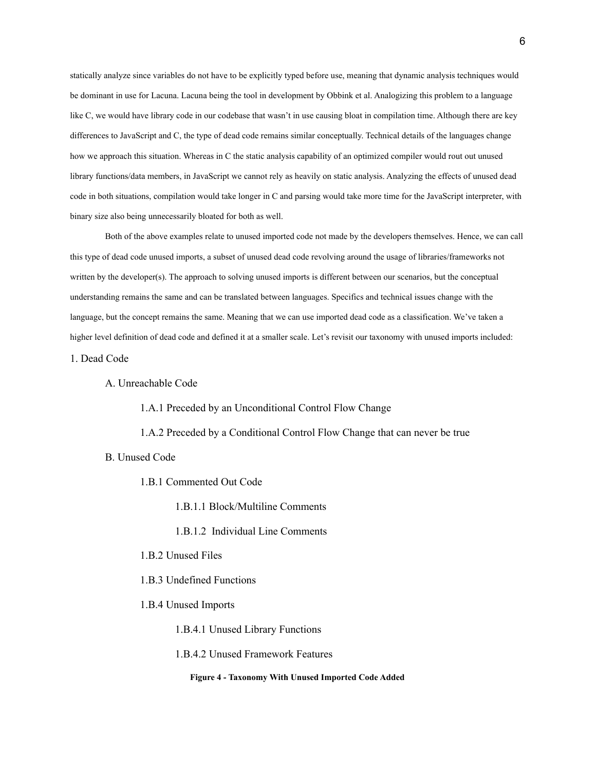statically analyze since variables do not have to be explicitly typed before use, meaning that dynamic analysis techniques would be dominant in use for Lacuna. Lacuna being the tool in development by Obbink et al. Analogizing this problem to a language like C, we would have library code in our codebase that wasn't in use causing bloat in compilation time. Although there are key differences to JavaScript and C, the type of dead code remains similar conceptually. Technical details of the languages change how we approach this situation. Whereas in C the static analysis capability of an optimized compiler would rout out unused library functions/data members, in JavaScript we cannot rely as heavily on static analysis. Analyzing the effects of unused dead code in both situations, compilation would take longer in C and parsing would take more time for the JavaScript interpreter, with binary size also being unnecessarily bloated for both as well.

Both of the above examples relate to unused imported code not made by the developers themselves. Hence, we can call this type of dead code unused imports, a subset of unused dead code revolving around the usage of libraries/frameworks not written by the developer(s). The approach to solving unused imports is different between our scenarios, but the conceptual understanding remains the same and can be translated between languages. Specifics and technical issues change with the language, but the concept remains the same. Meaning that we can use imported dead code as a classification. We've taken a higher level definition of dead code and defined it at a smaller scale. Let's revisit our taxonomy with unused imports included:

1. Dead Code

### A. Unreachable Code

1.A.1 Preceded by an Unconditional Control Flow Change

1.A.2 Preceded by a Conditional Control Flow Change that can never be true

B. Unused Code

1.B.1 Commented Out Code

1.B.1.1 Block/Multiline Comments

1.B.1.2 Individual Line Comments

1.B.2 Unused Files

1.B.3 Undefined Functions

1.B.4 Unused Imports

1.B.4.1 Unused Library Functions

1.B.4.2 Unused Framework Features

**Figure 4 - Taxonomy With Unused Imported Code Added**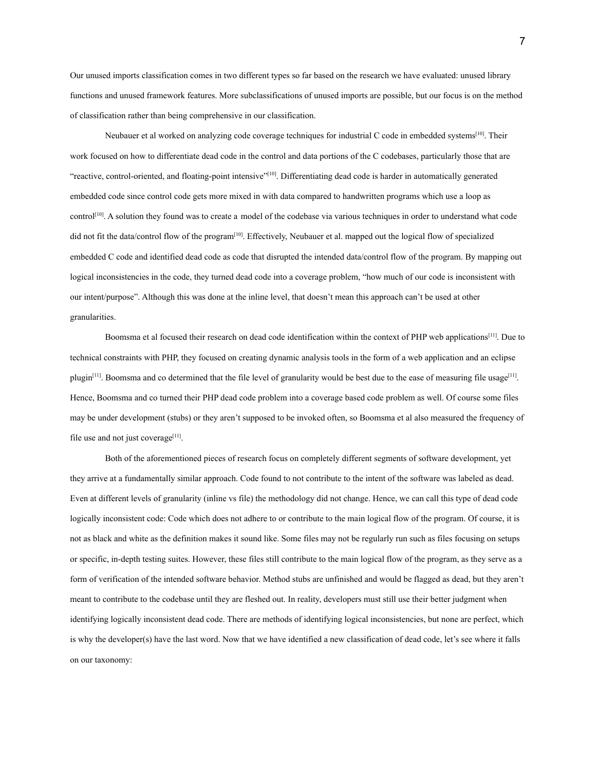Our unused imports classification comes in two different types so far based on the research we have evaluated: unused library functions and unused framework features. More subclassifications of unused imports are possible, but our focus is on the method of classification rather than being comprehensive in our classification.

Neubauer et al worked on analyzing code coverage techniques for industrial C code in embedded systems<sup>[10]</sup>. Their work focused on how to differentiate dead code in the control and data portions of the C codebases, particularly those that are "reactive, control-oriented, and floating-point intensive"[10]. Differentiating dead code is harder in automatically generated embedded code since control code gets more mixed in with data compared to handwritten programs which use a loop as control<sup>[10]</sup>. A solution they found was to create a model of the codebase via various techniques in order to understand what code did not fit the data/control flow of the program<sup>[10]</sup>. Effectively, Neubauer et al. mapped out the logical flow of specialized embedded C code and identified dead code as code that disrupted the intended data/control flow of the program. By mapping out logical inconsistencies in the code, they turned dead code into a coverage problem, "how much of our code is inconsistent with our intent/purpose". Although this was done at the inline level, that doesn't mean this approach can't be used at other granularities.

Boomsma et al focused their research on dead code identification within the context of PHP web applications<sup>[11]</sup>. Due to technical constraints with PHP, they focused on creating dynamic analysis tools in the form of a web application and an eclipse plugin<sup>[11]</sup>. Boomsma and co determined that the file level of granularity would be best due to the ease of measuring file usage<sup>[11]</sup>. Hence, Boomsma and co turned their PHP dead code problem into a coverage based code problem as well. Of course some files may be under development (stubs) or they aren't supposed to be invoked often, so Boomsma et al also measured the frequency of file use and not just coverage<sup>[11]</sup>.

Both of the aforementioned pieces of research focus on completely different segments of software development, yet they arrive at a fundamentally similar approach. Code found to not contribute to the intent of the software was labeled as dead. Even at different levels of granularity (inline vs file) the methodology did not change. Hence, we can call this type of dead code logically inconsistent code: Code which does not adhere to or contribute to the main logical flow of the program. Of course, it is not as black and white as the definition makes it sound like. Some files may not be regularly run such as files focusing on setups or specific, in-depth testing suites. However, these files still contribute to the main logical flow of the program, as they serve as a form of verification of the intended software behavior. Method stubs are unfinished and would be flagged as dead, but they aren't meant to contribute to the codebase until they are fleshed out. In reality, developers must still use their better judgment when identifying logically inconsistent dead code. There are methods of identifying logical inconsistencies, but none are perfect, which is why the developer(s) have the last word. Now that we have identified a new classification of dead code, let's see where it falls on our taxonomy: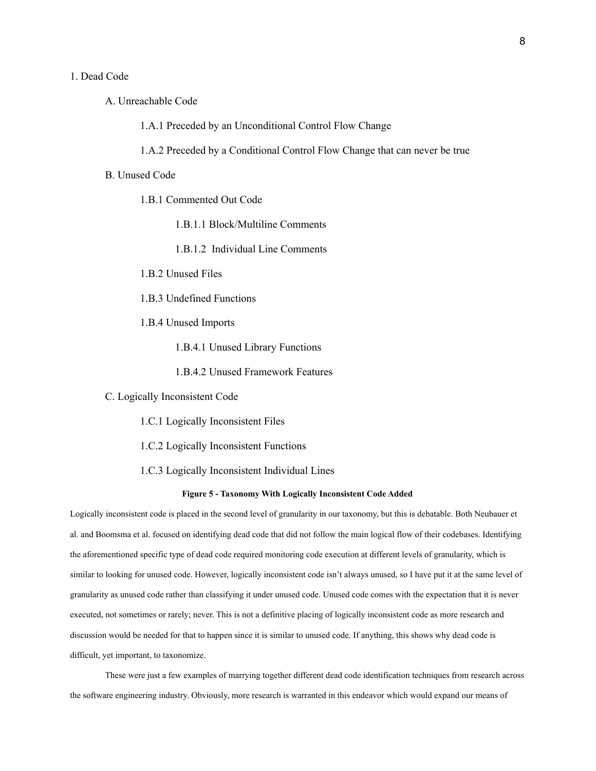### 1. Dead Code

A. Unreachable Code

1.A.1 Preceded by an Unconditional Control Flow Change

1.A.2 Preceded by a Conditional Control Flow Change that can never be true

### B. Unused Code

1.B.1 Commented Out Code

1.B.1.1 Block/Multiline Comments

1.B.1.2 Individual Line Comments

1.B.2 Unused Files

1.B.3 Undefined Functions

1.B.4 Unused Imports

1.B.4.1 Unused Library Functions

1.B.4.2 Unused Framework Features

C. Logically Inconsistent Code

1.C.1 Logically Inconsistent Files

1.C.2 Logically Inconsistent Functions

1.C.3 Logically Inconsistent Individual Lines

### **Figure 5 - Taxonomy With Logically Inconsistent Code Added**

Logically inconsistent code is placed in the second level of granularity in our taxonomy, but this is debatable. Both Neubauer et al. and Boomsma et al. focused on identifying dead code that did not follow the main logical flow of their codebases. Identifying the aforementioned specific type of dead code required monitoring code execution at different levels of granularity, which is similar to looking for unused code. However, logically inconsistent code isn't always unused, so I have put it at the same level of granularity as unused code rather than classifying it under unused code. Unused code comes with the expectation that it is never executed, not sometimes or rarely; never. This is not a definitive placing of logically inconsistent code as more research and discussion would be needed for that to happen since it is similar to unused code. If anything, this shows why dead code is difficult, yet important, to taxonomize.

These were just a few examples of marrying together different dead code identification techniques from research across the software engineering industry. Obviously, more research is warranted in this endeavor which would expand our means of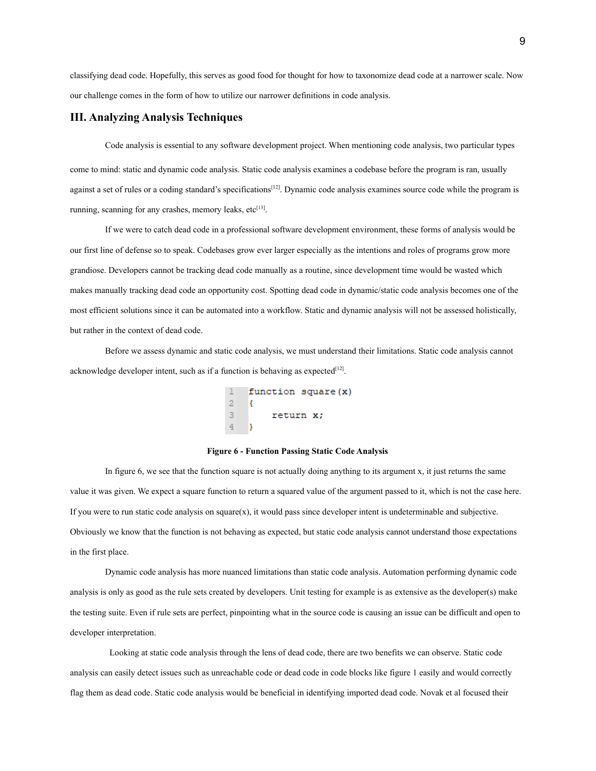classifying dead code. Hopefully, this serves as good food for thought for how to taxonomize dead code at a narrower scale. Now our challenge comes in the form of how to utilize our narrower definitions in code analysis.

## **III. Analyzing Analysis Techniques**

Code analysis is essential to any software development project. When mentioning code analysis, two particular types come to mind: static and dynamic code analysis. Static code analysis examines a codebase before the program is ran, usually against a set of rules or a coding standard's specifications<sup>[12]</sup>. Dynamic code analysis examines source code while the program is running, scanning for any crashes, memory leaks, etc<sup>[13]</sup>.

If we were to catch dead code in a professional software development environment, these forms of analysis would be our first line of defense so to speak. Codebases grow ever larger especially as the intentions and roles of programs grow more grandiose. Developers cannot be tracking dead code manually as a routine, since development time would be wasted which makes manually tracking dead code an opportunity cost. Spotting dead code in dynamic/static code analysis becomes one of the most efficient solutions since it can be automated into a workflow. Static and dynamic analysis will not be assessed holistically, but rather in the context of dead code.

Before we assess dynamic and static code analysis, we must understand their limitations. Static code analysis cannot acknowledge developer intent, such as if a function is behaving as expected $[12]$ .

```
function square(x)
\overline{2}\ensuremath{\mathsf{3}}return x;
\overline{4}- 1
```
#### **Figure 6 - Function Passing Static Code Analysis**

In figure 6, we see that the function square is not actually doing anything to its argument x, it just returns the same value it was given. We expect a square function to return a squared value of the argument passed to it, which is not the case here. If you were to run static code analysis on square $(x)$ , it would pass since developer intent is undeterminable and subjective. Obviously we know that the function is not behaving as expected, but static code analysis cannot understand those expectations in the first place.

Dynamic code analysis has more nuanced limitations than static code analysis. Automation performing dynamic code analysis is only as good as the rule sets created by developers. Unit testing for example is as extensive as the developer(s) make the testing suite. Even if rule sets are perfect, pinpointing what in the source code is causing an issue can be difficult and open to developer interpretation.

Looking at static code analysis through the lens of dead code, there are two benefits we can observe. Static code analysis can easily detect issues such as unreachable code or dead code in code blocks like figure 1 easily and would correctly flag them as dead code. Static code analysis would be beneficial in identifying imported dead code. Novak et al focused their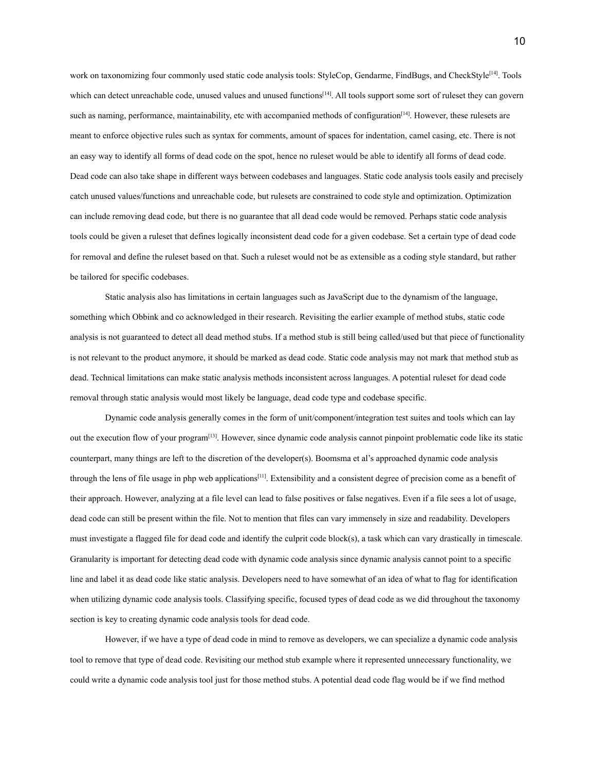work on taxonomizing four commonly used static code analysis tools: StyleCop, Gendarme, FindBugs, and CheckStyle<sup>[14]</sup>. Tools which can detect unreachable code, unused values and unused functions<sup>[14]</sup>. All tools support some sort of ruleset they can govern such as naming, performance, maintainability, etc with accompanied methods of configuration<sup>[14]</sup>. However, these rulesets are meant to enforce objective rules such as syntax for comments, amount of spaces for indentation, camel casing, etc. There is not an easy way to identify all forms of dead code on the spot, hence no ruleset would be able to identify all forms of dead code. Dead code can also take shape in different ways between codebases and languages. Static code analysis tools easily and precisely catch unused values/functions and unreachable code, but rulesets are constrained to code style and optimization. Optimization can include removing dead code, but there is no guarantee that all dead code would be removed. Perhaps static code analysis tools could be given a ruleset that defines logically inconsistent dead code for a given codebase. Set a certain type of dead code for removal and define the ruleset based on that. Such a ruleset would not be as extensible as a coding style standard, but rather be tailored for specific codebases.

Static analysis also has limitations in certain languages such as JavaScript due to the dynamism of the language, something which Obbink and co acknowledged in their research. Revisiting the earlier example of method stubs, static code analysis is not guaranteed to detect all dead method stubs. If a method stub is still being called/used but that piece of functionality is not relevant to the product anymore, it should be marked as dead code. Static code analysis may not mark that method stub as dead. Technical limitations can make static analysis methods inconsistent across languages. A potential ruleset for dead code removal through static analysis would most likely be language, dead code type and codebase specific.

Dynamic code analysis generally comes in the form of unit/component/integration test suites and tools which can lay out the execution flow of your program<sup>[13]</sup>. However, since dynamic code analysis cannot pinpoint problematic code like its static counterpart, many things are left to the discretion of the developer(s). Boomsma et al's approached dynamic code analysis through the lens of file usage in php web applications<sup>[11]</sup>. Extensibility and a consistent degree of precision come as a benefit of their approach. However, analyzing at a file level can lead to false positives or false negatives. Even if a file sees a lot of usage, dead code can still be present within the file. Not to mention that files can vary immensely in size and readability. Developers must investigate a flagged file for dead code and identify the culprit code block(s), a task which can vary drastically in timescale. Granularity is important for detecting dead code with dynamic code analysis since dynamic analysis cannot point to a specific line and label it as dead code like static analysis. Developers need to have somewhat of an idea of what to flag for identification when utilizing dynamic code analysis tools. Classifying specific, focused types of dead code as we did throughout the taxonomy section is key to creating dynamic code analysis tools for dead code.

However, if we have a type of dead code in mind to remove as developers, we can specialize a dynamic code analysis tool to remove that type of dead code. Revisiting our method stub example where it represented unnecessary functionality, we could write a dynamic code analysis tool just for those method stubs. A potential dead code flag would be if we find method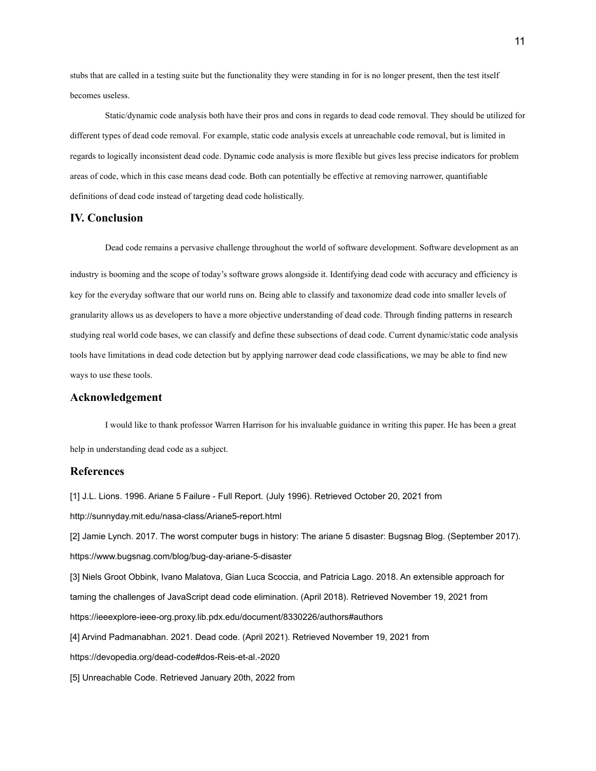stubs that are called in a testing suite but the functionality they were standing in for is no longer present, then the test itself becomes useless.

Static/dynamic code analysis both have their pros and cons in regards to dead code removal. They should be utilized for different types of dead code removal. For example, static code analysis excels at unreachable code removal, but is limited in regards to logically inconsistent dead code. Dynamic code analysis is more flexible but gives less precise indicators for problem areas of code, which in this case means dead code. Both can potentially be effective at removing narrower, quantifiable definitions of dead code instead of targeting dead code holistically.

### **IV. Conclusion**

industry is booming and the scope of today's software grows alongside it. Identifying dead code with accuracy and efficiency is key for the everyday software that our world runs on. Being able to classify and taxonomize dead code into smaller levels of granularity allows us as developers to have a more objective understanding of dead code. Through finding patterns in research studying real world code bases, we can classify and define these subsections of dead code. Current dynamic/static code analysis tools have limitations in dead code detection but by applying narrower dead code classifications, we may be able to find new ways to use these tools.

Dead code remains a pervasive challenge throughout the world of software development. Software development as an

## **Acknowledgement**

I would like to thank professor Warren Harrison for his invaluable guidance in writing this paper. He has been a great help in understanding dead code as a subject.

## **References**

[1] J.L. Lions. 1996. Ariane 5 Failure - Full Report. (July 1996). Retrieved October 20, 2021 from http://sunnyday.mit.edu/nasa-class/Ariane5-report.html [2] Jamie Lynch. 2017. The worst computer bugs in history: The ariane 5 disaster: Bugsnag Blog. (September 2017). https://www.bugsnag.com/blog/bug-day-ariane-5-disaster [3] Niels Groot Obbink, Ivano Malatova, Gian Luca Scoccia, and Patricia Lago. 2018. An extensible approach for taming the challenges of JavaScript dead code elimination. (April 2018). Retrieved November 19, 2021 from https://ieeexplore-ieee-org.proxy.lib.pdx.edu/document/8330226/authors#authors [4] Arvind Padmanabhan. 2021. Dead code. (April 2021). Retrieved November 19, 2021 from https://devopedia.org/dead-code#dos-Reis-et-al.-2020

[5] Unreachable Code. Retrieved January 20th, 2022 from